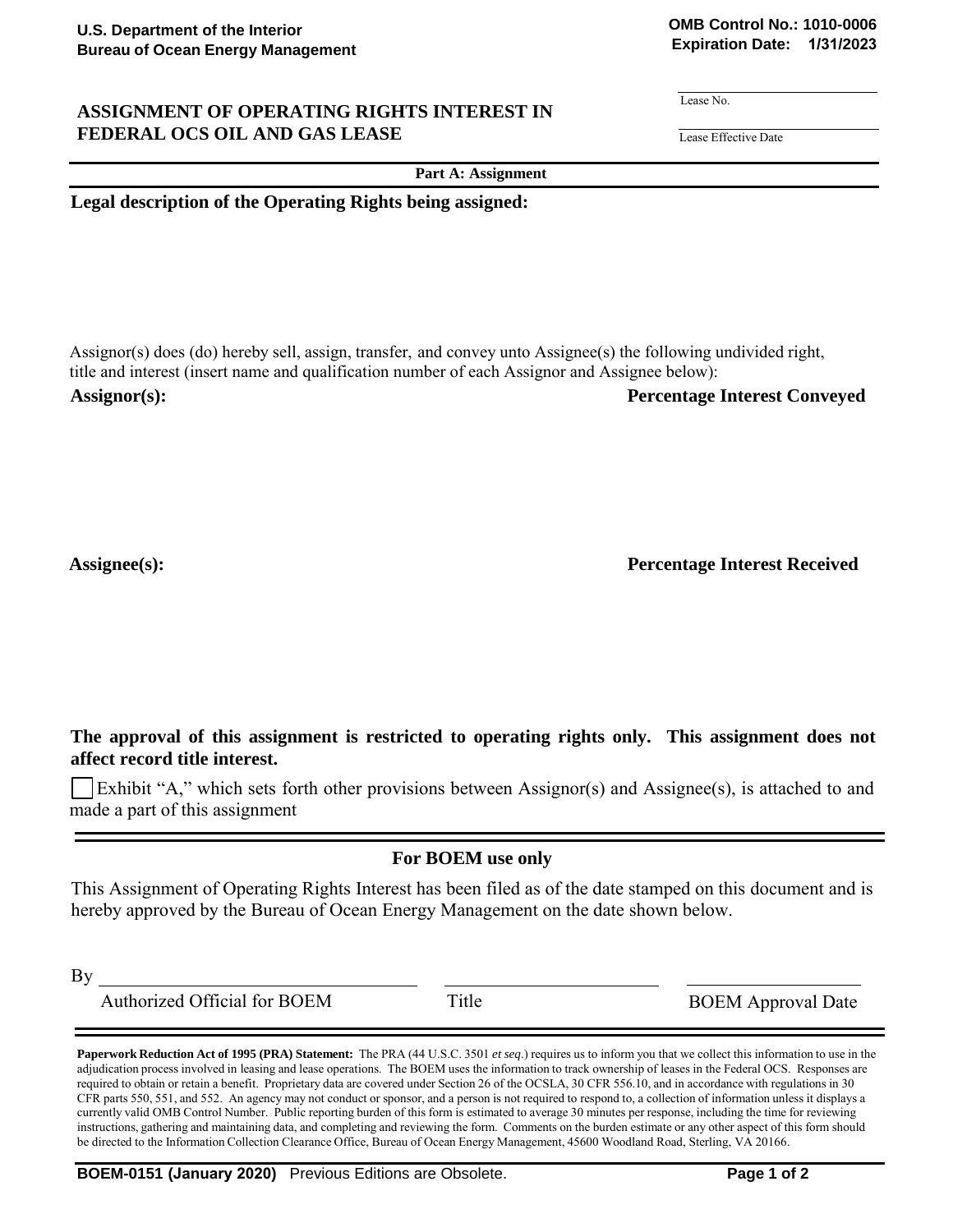## **ASSIGNMENT OF OPERATING RIGHTS INTEREST IN FEDERAL OCS OIL AND GAS LEASE Lease Effective Date**

**OMB Control No.: 1010-0006 Expiration Date: 1/31/2023**

Lease No.

**Part A: Assignment**

**Legal description of the Operating Rights being assigned:**

Assignor(s) does (do) hereby sell, assign, transfer, and convey unto Assignee(s) the following undivided right, title and interest (insert name and qualification number of each Assignor and Assignee below):

**Assignor(s): Percentage Interest Conveyed**

**Assignee(s): Percentage Interest Received**

**The approval of this assignment is restricted to operating rights only. This assignment does not affect record title interest.**

Exhibit "A," which sets forth other provisions between Assignor(s) and Assignee(s), is attached to and made a part of this assignment

## **For BOEM use only**

This Assignment of Operating Rights Interest has been filed as of the date stamped on this document and is hereby approved by the Bureau of Ocean Energy Management on the date shown below.

By

Authorized Official for BOEM Title BOEM Approval Date

**Paperwork Reduction Act of 1995 (PRA) Statement:** The PRA (44 U.S.C. 3501 *et seq*.) requires us to inform you that we collect this information to use in the adjudication process involved in leasing and lease operations. The BOEM uses the information to track ownership of leases in the Federal OCS. Responses are required to obtain or retain a benefit. Proprietary data are covered under Section 26 of the OCSLA, 30 CFR 556.10, and in accordance with regulations in 30 CFR parts 550, 551, and 552. An agency may not conduct or sponsor, and a person is not required to respond to, a collection of information unless it displays a currently valid OMB Control Number. Public reporting burden of this form is estimated to average 30 minutes per response, including the time for reviewing instructions, gathering and maintaining data, and completing and reviewing the form. Comments on the burden estimate or any other aspect of this form should be directed to the Information Collection Clearance Office, Bureau of Ocean Energy Management, 45600 Woodland Road, Sterling, VA 20166.